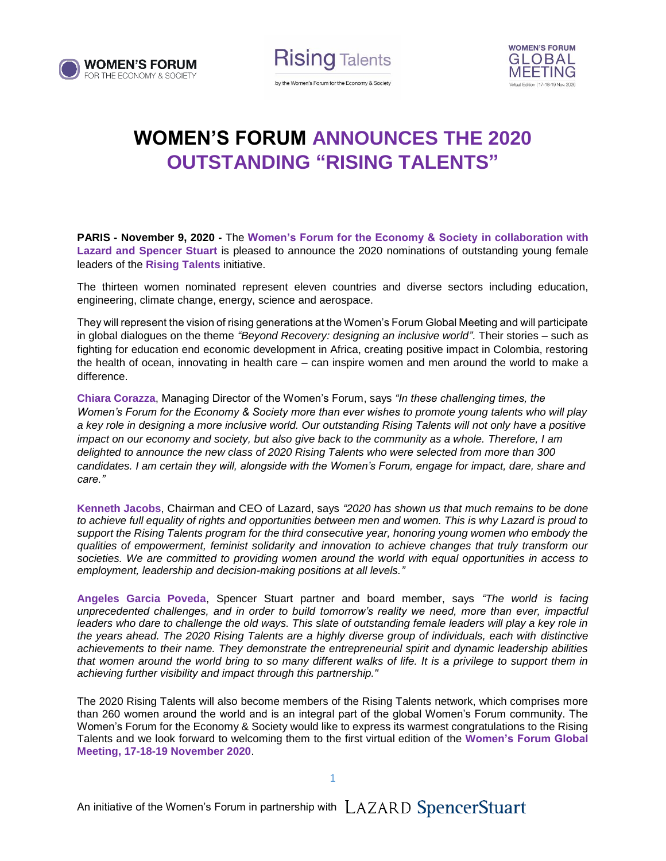





## **WOMEN'S FORUM ANNOUNCES THE 2020 OUTSTANDING "RISING TALENTS"**

**PARIS - November 9, 2020 -** The **Women's Forum for the Economy & Society in collaboration with Lazard and Spencer Stuart** is pleased to announce the 2020 nominations of outstanding young female leaders of the **Rising Talents** initiative.

The thirteen women nominated represent eleven countries and diverse sectors including education, engineering, climate change, energy, science and aerospace.

They will represent the vision of rising generations at the Women's Forum Global Meeting and will participate in global dialogues on the theme *"Beyond Recovery: designing an inclusive world".* Their stories – such as fighting for education end economic development in Africa, creating positive impact in Colombia, restoring the health of ocean, innovating in health care – can inspire women and men around the world to make a difference.

**Chiara Corazza**, Managing Director of the Women's Forum, says *"In these challenging times, the Women's Forum for the Economy & Society more than ever wishes to promote young talents who will play a key role in designing a more inclusive world. Our outstanding Rising Talents will not only have a positive impact on our economy and society, but also give back to the community as a whole. Therefore, I am delighted to announce the new class of 2020 Rising Talents who were selected from more than 300 candidates. I am certain they will, alongside with the Women's Forum, engage for impact, dare, share and care."*

**Kenneth Jacobs**, Chairman and CEO of Lazard, says *"2020 has shown us that much remains to be done to achieve full equality of rights and opportunities between men and women. This is why Lazard is proud to support the Rising Talents program for the third consecutive year, honoring young women who embody the qualities of empowerment, feminist solidarity and innovation to achieve changes that truly transform our societies. We are committed to providing women around the world with equal opportunities in access to employment, leadership and decision-making positions at all levels."*

**Angeles Garcia Poveda**, Spencer Stuart partner and board member, says *"The world is facing unprecedented challenges, and in order to build tomorrow's reality we need, more than ever, impactful*  leaders who dare to challenge the old ways. This slate of outstanding female leaders will play a key role in *the years ahead. The 2020 Rising Talents are a highly diverse group of individuals, each with distinctive achievements to their name. They demonstrate the entrepreneurial spirit and dynamic leadership abilities that women around the world bring to so many different walks of life. It is a privilege to support them in achieving further visibility and impact through this partnership."*

The 2020 Rising Talents will also become members of the Rising Talents network, which comprises more than 260 women around the world and is an integral part of the global Women's Forum community. The Women's Forum for the Economy & Society would like to express its warmest congratulations to the Rising Talents and we look forward to welcoming them to the first virtual edition of the **Women's Forum Global Meeting, 17-18-19 November 2020**.